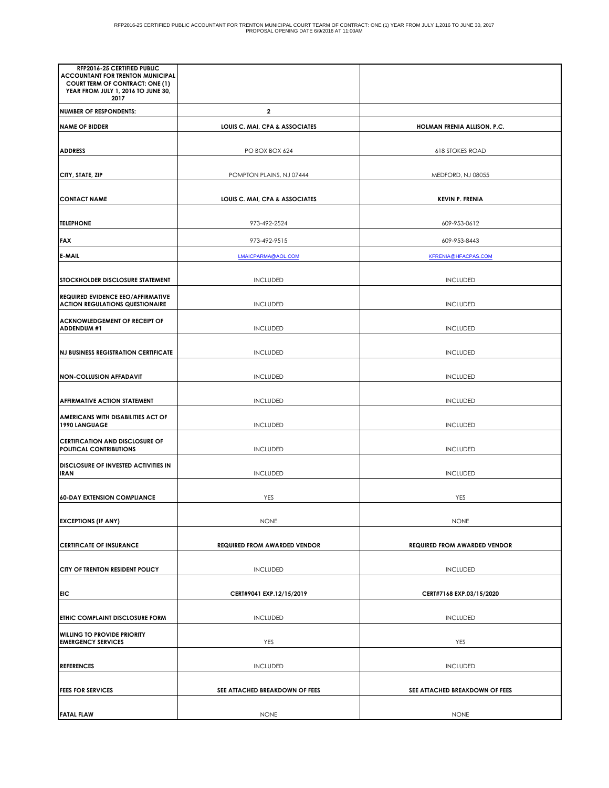| RFP2016-25 CERTIFIED PUBLIC<br><b>ACCOUNTANT FOR TRENTON MUNICIPAL</b>               |                                     |                                     |
|--------------------------------------------------------------------------------------|-------------------------------------|-------------------------------------|
| <b>COURT TERM OF CONTRACT: ONE (1)</b><br>YEAR FROM JULY 1, 2016 TO JUNE 30,<br>2017 |                                     |                                     |
| <b>NUMBER OF RESPONDENTS:</b>                                                        | $\overline{\mathbf{2}}$             |                                     |
| <b>NAME OF BIDDER</b>                                                                | LOUIS C. MAI, CPA & ASSOCIATES      | HOLMAN FRENIA ALLISON, P.C.         |
| <b>ADDRESS</b>                                                                       | PO BOX BOX 624                      | <b>618 STOKES ROAD</b>              |
| CITY, STATE, ZIP                                                                     | POMPTON PLAINS, NJ 07444            | MEDFORD, NJ 08055                   |
| <b>CONTACT NAME</b>                                                                  | LOUIS C. MAI, CPA & ASSOCIATES      | <b>KEVIN P. FRENIA</b>              |
| <b>TELEPHONE</b>                                                                     | 973-492-2524                        | 609-953-0612                        |
| <b>FAX</b>                                                                           | 973-492-9515                        | 609-953-8443                        |
| <b>E-MAIL</b>                                                                        | LMAICPARMA@AOL.COM                  | KFRENIA@HFACPAS.COM                 |
| <b>STOCKHOLDER DISCLOSURE STATEMENT</b>                                              | <b>INCLUDED</b>                     | <b>INCLUDED</b>                     |
| <b>REQUIRED EVIDENCE EEO/AFFIRMATIVE</b><br><b>ACTION REGULATIONS QUESTIONAIRE</b>   | <b>INCLUDED</b>                     | <b>INCLUDED</b>                     |
| <b>ACKNOWLEDGEMENT OF RECEIPT OF</b><br><b>ADDENDUM #1</b>                           | <b>INCLUDED</b>                     | <b>INCLUDED</b>                     |
| <b>NJ BUSINESS REGISTRATION CERTIFICATE</b>                                          | <b>INCLUDED</b>                     | <b>INCLUDED</b>                     |
| <b>NON-COLLUSION AFFADAVIT</b>                                                       | <b>INCLUDED</b>                     | <b>INCLUDED</b>                     |
| <b>AFFIRMATIVE ACTION STATEMENT</b>                                                  | <b>INCLUDED</b>                     | <b>INCLUDED</b>                     |
| AMERICANS WITH DISABILITIES ACT OF<br>1990 LANGUAGE                                  | <b>INCLUDED</b>                     | <b>INCLUDED</b>                     |
| <b>CERTIFICATION AND DISCLOSURE OF</b><br><b>POLITICAL CONTRIBUTIONS</b>             | <b>INCLUDED</b>                     | <b>INCLUDED</b>                     |
| <b>DISCLOSURE OF INVESTED ACTIVITIES IN</b><br><b>IRAN</b>                           | <b>INCLUDED</b>                     | <b>INCLUDED</b>                     |
| <b>60-DAY EXTENSION COMPLIANCE</b>                                                   | YES                                 | YES                                 |
| <b>EXCEPTIONS (IF ANY)</b>                                                           | <b>NONE</b>                         | <b>NONE</b>                         |
| <b>CERTIFICATE OF INSURANCE</b>                                                      | <b>REQUIRED FROM AWARDED VENDOR</b> | <b>REQUIRED FROM AWARDED VENDOR</b> |
| <b>CITY OF TRENTON RESIDENT POLICY</b>                                               | <b>INCLUDED</b>                     | <b>INCLUDED</b>                     |
| EIC                                                                                  | CERT#9041 EXP.12/15/2019            | CERT#7168 EXP.03/15/2020            |
| <b>ETHIC COMPLAINT DISCLOSURE FORM</b>                                               | <b>INCLUDED</b>                     | <b>INCLUDED</b>                     |
| <b>WILLING TO PROVIDE PRIORITY</b><br><b>EMERGENCY SERVICES</b>                      | YES                                 | YES                                 |
| <b>REFERENCES</b>                                                                    | <b>INCLUDED</b>                     | <b>INCLUDED</b>                     |
| <b>FEES FOR SERVICES</b>                                                             | SEE ATTACHED BREAKDOWN OF FEES      | SEE ATTACHED BREAKDOWN OF FEES      |
| <b>FATAL FLAW</b>                                                                    | <b>NONE</b>                         | <b>NONE</b>                         |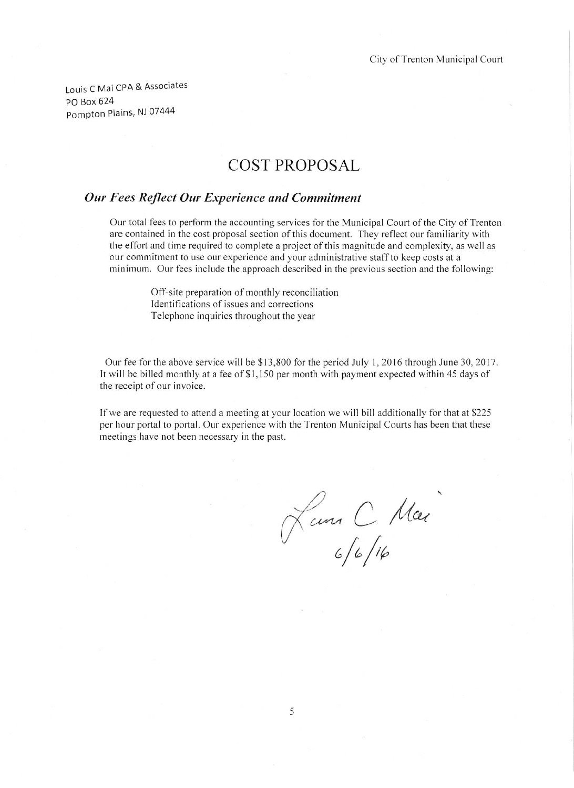Louis C Mai CPA & Associates PO Box 624 Pompton Plains, NJ 07444

## **COST PROPOSAL**

## Our Fees Reflect Our Experience and Commitment

Our total fees to perform the accounting services for the Municipal Court of the City of Trenton are contained in the cost proposal section of this document. They reflect our familiarity with the effort and time required to complete a project of this magnitude and complexity, as well as our commitment to use our experience and your administrative staff to keep costs at a minimum. Our fees include the approach described in the previous section and the following:

> Off-site preparation of monthly reconciliation Identifications of issues and corrections Telephone inquiries throughout the year

Our fee for the above service will be \$13,800 for the period July 1, 2016 through June 30, 2017. It will be billed monthly at a fee of \$1,150 per month with payment expected within 45 days of the receipt of our invoice.

If we are requested to attend a meeting at your location we will bill additionally for that at \$225 per hour portal to portal. Our experience with the Trenton Municipal Courts has been that these meetings have not been necessary in the past.

Lun C Mar<br>6/6/16